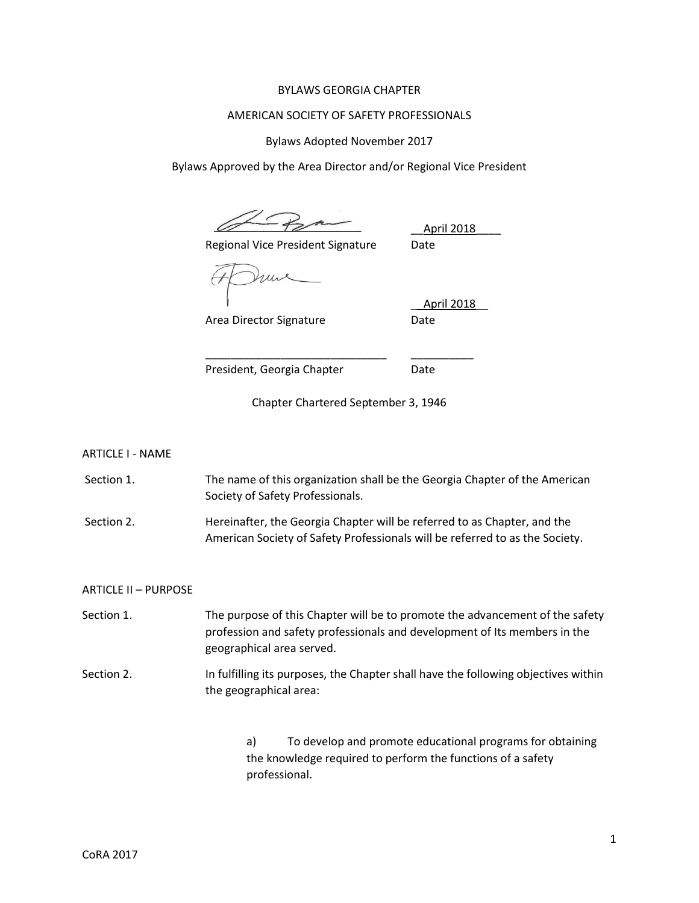## BYLAWS GEORGIA CHAPTER

### AMERICAN SOCIETY OF SAFETY PROFESSIONALS

Bylaws Adopted November 2017

Bylaws Approved by the Area Director and/or Regional Vice President

Regional Vice President Signature Date

\_\_April 2018\_\_\_\_

Area Director Signature **Date** 

\_\_April 2018\_\_

President, Georgia Chapter **Date** 

Chapter Chartered September 3, 1946

\_\_\_\_\_\_\_\_\_\_\_\_\_\_\_\_\_\_\_\_\_\_\_\_\_\_\_\_\_ \_\_\_\_\_\_\_\_\_\_

ARTICLE I - NAME

Section 1. The name of this organization shall be the Georgia Chapter of the American Society of Safety Professionals.

Section 2. **Hereinafter, the Georgia Chapter will be referred to as Chapter, and the** American Society of Safety Professionals will be referred to as the Society.

ARTICLE II – PURPOSE

Section 1. The purpose of this Chapter will be to promote the advancement of the safety profession and safety professionals and development of Its members in the geographical area served.

Section 2. In fulfilling its purposes, the Chapter shall have the following objectives within the geographical area:

> a) To develop and promote educational programs for obtaining the knowledge required to perform the functions of a safety professional.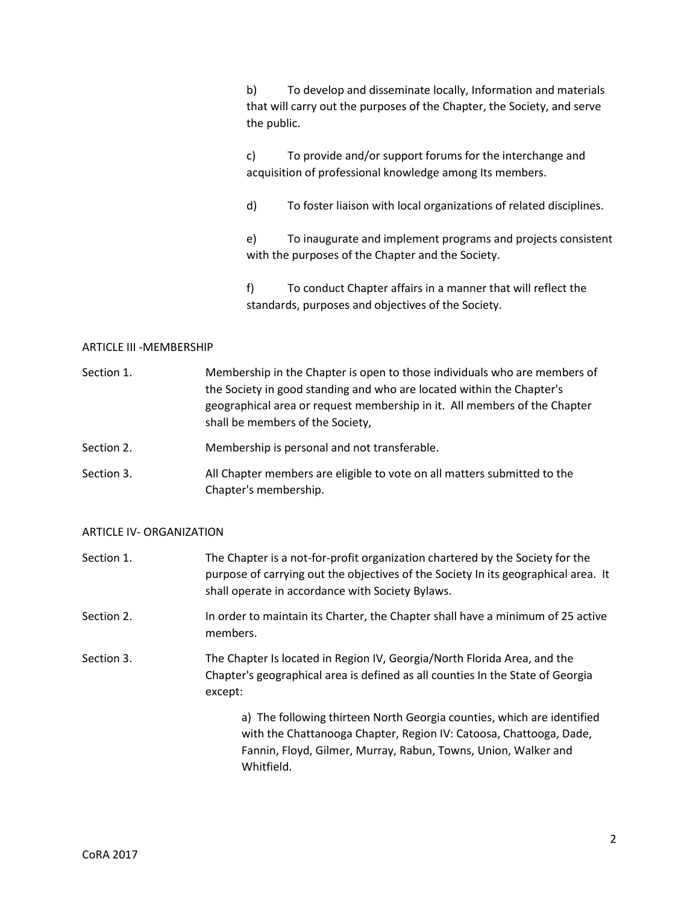b) To develop and disseminate locally, Information and materials that will carry out the purposes of the Chapter, the Society, and serve the public.

c) To provide and/or support forums for the interchange and acquisition of professional knowledge among Its members.

d) To foster liaison with local organizations of related disciplines.

e) To inaugurate and implement programs and projects consistent with the purposes of the Chapter and the Society.

f) To conduct Chapter affairs in a manner that will reflect the standards, purposes and objectives of the Society.

## ARTICLE III -MEMBERSHIP

| Section 1. | Membership in the Chapter is open to those individuals who are members of |
|------------|---------------------------------------------------------------------------|
|            | the Society in good standing and who are located within the Chapter's     |
|            | geographical area or request membership in it. All members of the Chapter |
|            | shall be members of the Society,                                          |

Section 2. Membership is personal and not transferable.

Section 3. All Chapter members are eligible to vote on all matters submitted to the Chapter's membership.

#### ARTICLE IV- ORGANIZATION

| Section 1. | The Chapter is a not-for-profit organization chartered by the Society for the<br>purpose of carrying out the objectives of the Society In its geographical area. It<br>shall operate in accordance with Society Bylaws.      |
|------------|------------------------------------------------------------------------------------------------------------------------------------------------------------------------------------------------------------------------------|
| Section 2. | In order to maintain its Charter, the Chapter shall have a minimum of 25 active<br>members.                                                                                                                                  |
| Section 3. | The Chapter Is located in Region IV, Georgia/North Florida Area, and the<br>Chapter's geographical area is defined as all counties In the State of Georgia<br>except:                                                        |
|            | a) The following thirteen North Georgia counties, which are identified<br>with the Chattanooga Chapter, Region IV: Catoosa, Chattooga, Dade,<br>Fannin, Floyd, Gilmer, Murray, Rabun, Towns, Union, Walker and<br>Whitfield. |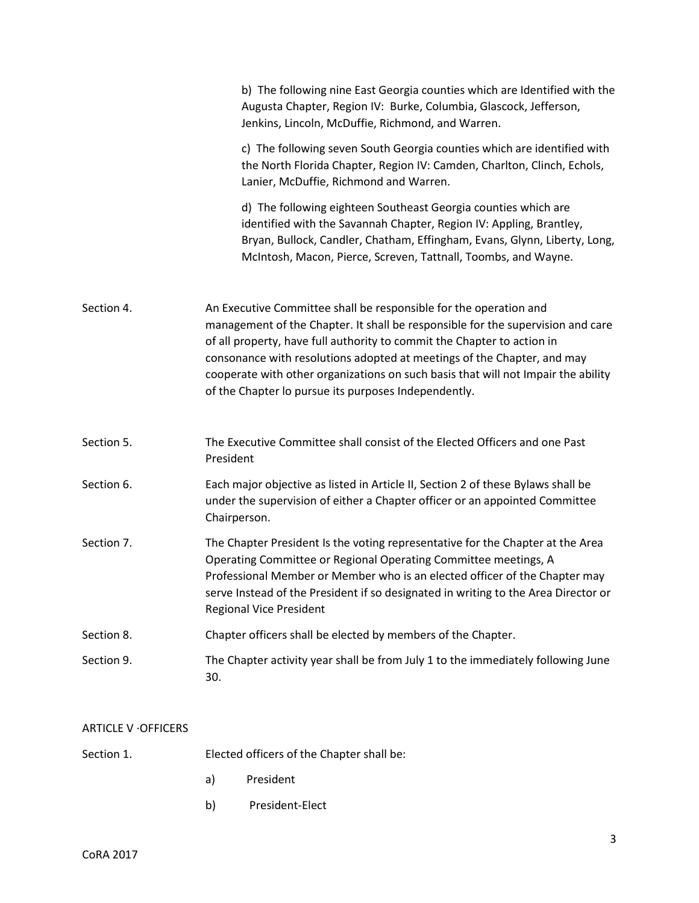|                             | b) The following nine East Georgia counties which are Identified with the<br>Augusta Chapter, Region IV: Burke, Columbia, Glascock, Jefferson,<br>Jenkins, Lincoln, McDuffie, Richmond, and Warren.                                                                                                                                                                                                                                                     |
|-----------------------------|---------------------------------------------------------------------------------------------------------------------------------------------------------------------------------------------------------------------------------------------------------------------------------------------------------------------------------------------------------------------------------------------------------------------------------------------------------|
|                             | c) The following seven South Georgia counties which are identified with<br>the North Florida Chapter, Region IV: Camden, Charlton, Clinch, Echols,<br>Lanier, McDuffie, Richmond and Warren.                                                                                                                                                                                                                                                            |
|                             | d) The following eighteen Southeast Georgia counties which are<br>identified with the Savannah Chapter, Region IV: Appling, Brantley,<br>Bryan, Bullock, Candler, Chatham, Effingham, Evans, Glynn, Liberty, Long,<br>McIntosh, Macon, Pierce, Screven, Tattnall, Toombs, and Wayne.                                                                                                                                                                    |
| Section 4.                  | An Executive Committee shall be responsible for the operation and<br>management of the Chapter. It shall be responsible for the supervision and care<br>of all property, have full authority to commit the Chapter to action in<br>consonance with resolutions adopted at meetings of the Chapter, and may<br>cooperate with other organizations on such basis that will not Impair the ability<br>of the Chapter lo pursue its purposes Independently. |
| Section 5.                  | The Executive Committee shall consist of the Elected Officers and one Past<br>President                                                                                                                                                                                                                                                                                                                                                                 |
| Section 6.                  | Each major objective as listed in Article II, Section 2 of these Bylaws shall be<br>under the supervision of either a Chapter officer or an appointed Committee<br>Chairperson.                                                                                                                                                                                                                                                                         |
| Section 7.                  | The Chapter President Is the voting representative for the Chapter at the Area<br>Operating Committee or Regional Operating Committee meetings, A<br>Professional Member or Member who is an elected officer of the Chapter may<br>serve Instead of the President if so designated in writing to the Area Director or<br><b>Regional Vice President</b>                                                                                                 |
| Section 8.                  | Chapter officers shall be elected by members of the Chapter.                                                                                                                                                                                                                                                                                                                                                                                            |
| Section 9.                  | The Chapter activity year shall be from July 1 to the immediately following June<br>30.                                                                                                                                                                                                                                                                                                                                                                 |
| <b>ARTICLE V - OFFICERS</b> |                                                                                                                                                                                                                                                                                                                                                                                                                                                         |

| Section 1. |    | Elected officers of the Chapter shall be: |
|------------|----|-------------------------------------------|
|            | a) | President                                 |
|            | b) | President-Elect                           |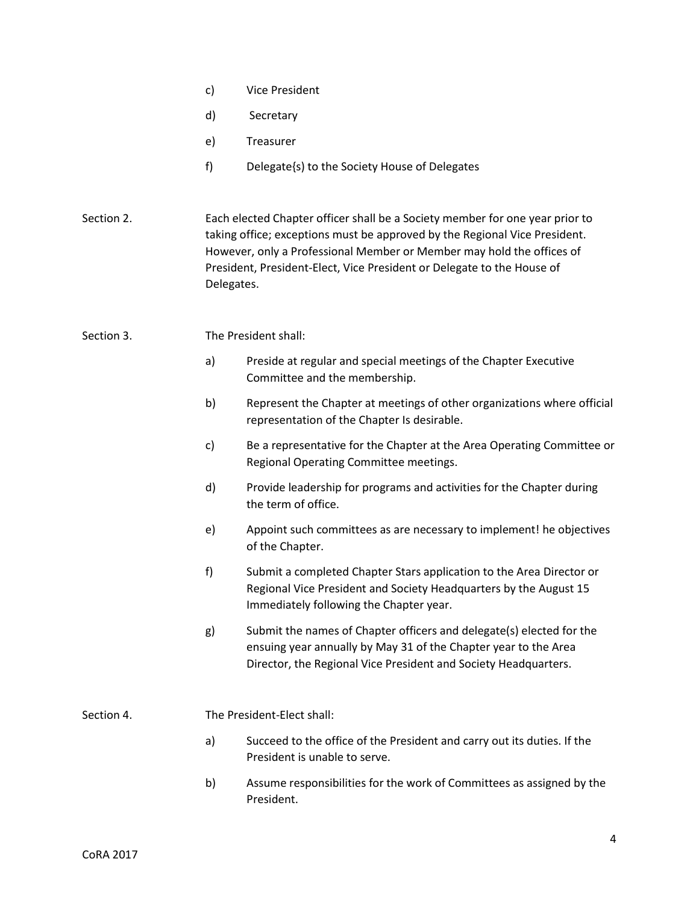|            | c)                         | Vice President                                                                                                                                                                                                                                                                                                |  |  |  |
|------------|----------------------------|---------------------------------------------------------------------------------------------------------------------------------------------------------------------------------------------------------------------------------------------------------------------------------------------------------------|--|--|--|
|            | d)                         | Secretary                                                                                                                                                                                                                                                                                                     |  |  |  |
|            | e)                         | Treasurer                                                                                                                                                                                                                                                                                                     |  |  |  |
|            | f)                         | Delegate{s) to the Society House of Delegates                                                                                                                                                                                                                                                                 |  |  |  |
| Section 2. | Delegates.                 | Each elected Chapter officer shall be a Society member for one year prior to<br>taking office; exceptions must be approved by the Regional Vice President.<br>However, only a Professional Member or Member may hold the offices of<br>President, President-Elect, Vice President or Delegate to the House of |  |  |  |
| Section 3. |                            | The President shall:                                                                                                                                                                                                                                                                                          |  |  |  |
|            | a)                         | Preside at regular and special meetings of the Chapter Executive<br>Committee and the membership.                                                                                                                                                                                                             |  |  |  |
|            | b)                         | Represent the Chapter at meetings of other organizations where official<br>representation of the Chapter Is desirable.                                                                                                                                                                                        |  |  |  |
|            | c)                         | Be a representative for the Chapter at the Area Operating Committee or<br>Regional Operating Committee meetings.                                                                                                                                                                                              |  |  |  |
|            | d)                         | Provide leadership for programs and activities for the Chapter during<br>the term of office.                                                                                                                                                                                                                  |  |  |  |
|            | e)                         | Appoint such committees as are necessary to implement! he objectives<br>of the Chapter.                                                                                                                                                                                                                       |  |  |  |
|            | f)                         | Submit a completed Chapter Stars application to the Area Director or<br>Regional Vice President and Society Headquarters by the August 15<br>Immediately following the Chapter year.                                                                                                                          |  |  |  |
|            | g)                         | Submit the names of Chapter officers and delegate(s) elected for the<br>ensuing year annually by May 31 of the Chapter year to the Area<br>Director, the Regional Vice President and Society Headquarters.                                                                                                    |  |  |  |
| Section 4. | The President-Elect shall: |                                                                                                                                                                                                                                                                                                               |  |  |  |
|            | a)                         | Succeed to the office of the President and carry out its duties. If the<br>President is unable to serve.                                                                                                                                                                                                      |  |  |  |
|            | b)                         | Assume responsibilities for the work of Committees as assigned by the<br>President.                                                                                                                                                                                                                           |  |  |  |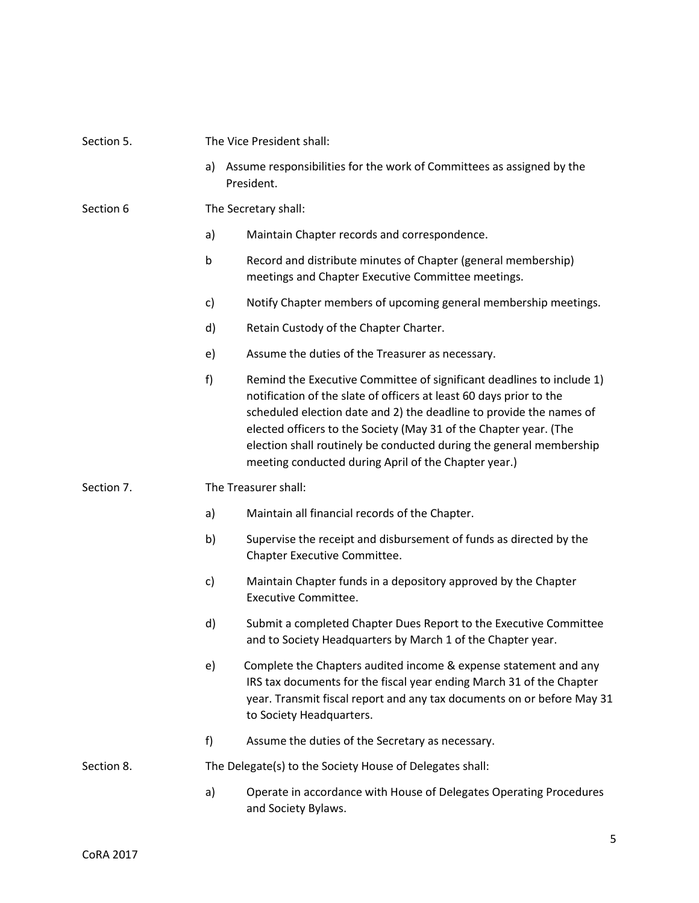| Section 5. | The Vice President shall:                                |                                                                                                                                                                                                                                                                                                                                                                                                                         |  |  |  |
|------------|----------------------------------------------------------|-------------------------------------------------------------------------------------------------------------------------------------------------------------------------------------------------------------------------------------------------------------------------------------------------------------------------------------------------------------------------------------------------------------------------|--|--|--|
|            | a)                                                       | Assume responsibilities for the work of Committees as assigned by the<br>President.                                                                                                                                                                                                                                                                                                                                     |  |  |  |
| Section 6  | The Secretary shall:                                     |                                                                                                                                                                                                                                                                                                                                                                                                                         |  |  |  |
|            | a)                                                       | Maintain Chapter records and correspondence.                                                                                                                                                                                                                                                                                                                                                                            |  |  |  |
|            | b                                                        | Record and distribute minutes of Chapter (general membership)<br>meetings and Chapter Executive Committee meetings.                                                                                                                                                                                                                                                                                                     |  |  |  |
|            | c)                                                       | Notify Chapter members of upcoming general membership meetings.                                                                                                                                                                                                                                                                                                                                                         |  |  |  |
|            | d)                                                       | Retain Custody of the Chapter Charter.                                                                                                                                                                                                                                                                                                                                                                                  |  |  |  |
|            | e)                                                       | Assume the duties of the Treasurer as necessary.                                                                                                                                                                                                                                                                                                                                                                        |  |  |  |
|            | f)                                                       | Remind the Executive Committee of significant deadlines to include 1)<br>notification of the slate of officers at least 60 days prior to the<br>scheduled election date and 2) the deadline to provide the names of<br>elected officers to the Society (May 31 of the Chapter year. (The<br>election shall routinely be conducted during the general membership<br>meeting conducted during April of the Chapter year.) |  |  |  |
| Section 7. |                                                          | The Treasurer shall:                                                                                                                                                                                                                                                                                                                                                                                                    |  |  |  |
|            | a)                                                       | Maintain all financial records of the Chapter.                                                                                                                                                                                                                                                                                                                                                                          |  |  |  |
|            | b)                                                       | Supervise the receipt and disbursement of funds as directed by the<br>Chapter Executive Committee.                                                                                                                                                                                                                                                                                                                      |  |  |  |
|            | c)                                                       | Maintain Chapter funds in a depository approved by the Chapter<br><b>Executive Committee.</b>                                                                                                                                                                                                                                                                                                                           |  |  |  |
|            | d)                                                       | Submit a completed Chapter Dues Report to the Executive Committee<br>and to Society Headquarters by March 1 of the Chapter year.                                                                                                                                                                                                                                                                                        |  |  |  |
|            | e)                                                       | Complete the Chapters audited income & expense statement and any<br>IRS tax documents for the fiscal year ending March 31 of the Chapter<br>year. Transmit fiscal report and any tax documents on or before May 31<br>to Society Headquarters.                                                                                                                                                                          |  |  |  |
|            | f)                                                       | Assume the duties of the Secretary as necessary.                                                                                                                                                                                                                                                                                                                                                                        |  |  |  |
| Section 8. | The Delegate(s) to the Society House of Delegates shall: |                                                                                                                                                                                                                                                                                                                                                                                                                         |  |  |  |
|            | a)                                                       | Operate in accordance with House of Delegates Operating Procedures<br>and Society Bylaws.                                                                                                                                                                                                                                                                                                                               |  |  |  |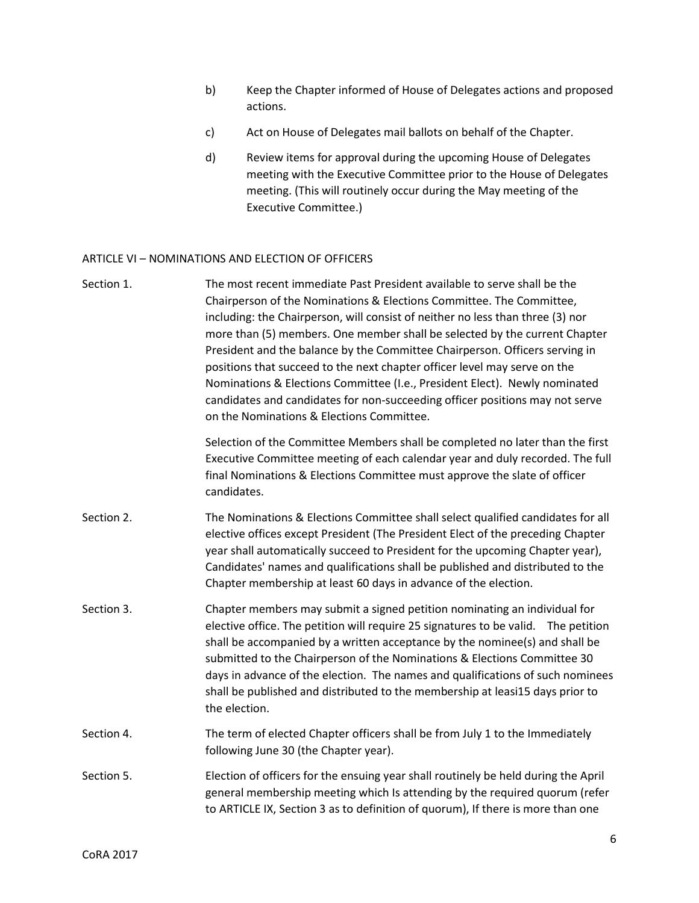- b) Keep the Chapter informed of House of Delegates actions and proposed actions.
- c) Act on House of Delegates mail ballots on behalf of the Chapter.
- d) Review items for approval during the upcoming House of Delegates meeting with the Executive Committee prior to the House of Delegates meeting. (This will routinely occur during the May meeting of the Executive Committee.)

# ARTICLE VI – NOMINATIONS AND ELECTION OF OFFICERS

| Section 1. | The most recent immediate Past President available to serve shall be the<br>Chairperson of the Nominations & Elections Committee. The Committee,<br>including: the Chairperson, will consist of neither no less than three (3) nor<br>more than (5) members. One member shall be selected by the current Chapter<br>President and the balance by the Committee Chairperson. Officers serving in<br>positions that succeed to the next chapter officer level may serve on the<br>Nominations & Elections Committee (I.e., President Elect). Newly nominated<br>candidates and candidates for non-succeeding officer positions may not serve<br>on the Nominations & Elections Committee. |
|------------|-----------------------------------------------------------------------------------------------------------------------------------------------------------------------------------------------------------------------------------------------------------------------------------------------------------------------------------------------------------------------------------------------------------------------------------------------------------------------------------------------------------------------------------------------------------------------------------------------------------------------------------------------------------------------------------------|
|            | Selection of the Committee Members shall be completed no later than the first<br>Executive Committee meeting of each calendar year and duly recorded. The full<br>final Nominations & Elections Committee must approve the slate of officer<br>candidates.                                                                                                                                                                                                                                                                                                                                                                                                                              |
| Section 2. | The Nominations & Elections Committee shall select qualified candidates for all<br>elective offices except President (The President Elect of the preceding Chapter<br>year shall automatically succeed to President for the upcoming Chapter year),<br>Candidates' names and qualifications shall be published and distributed to the<br>Chapter membership at least 60 days in advance of the election.                                                                                                                                                                                                                                                                                |
| Section 3. | Chapter members may submit a signed petition nominating an individual for<br>elective office. The petition will require 25 signatures to be valid. The petition<br>shall be accompanied by a written acceptance by the nominee(s) and shall be<br>submitted to the Chairperson of the Nominations & Elections Committee 30<br>days in advance of the election. The names and qualifications of such nominees<br>shall be published and distributed to the membership at leasi15 days prior to<br>the election.                                                                                                                                                                          |
| Section 4. | The term of elected Chapter officers shall be from July 1 to the Immediately<br>following June 30 (the Chapter year).                                                                                                                                                                                                                                                                                                                                                                                                                                                                                                                                                                   |
| Section 5. | Election of officers for the ensuing year shall routinely be held during the April<br>general membership meeting which Is attending by the required quorum (refer<br>to ARTICLE IX, Section 3 as to definition of quorum), If there is more than one                                                                                                                                                                                                                                                                                                                                                                                                                                    |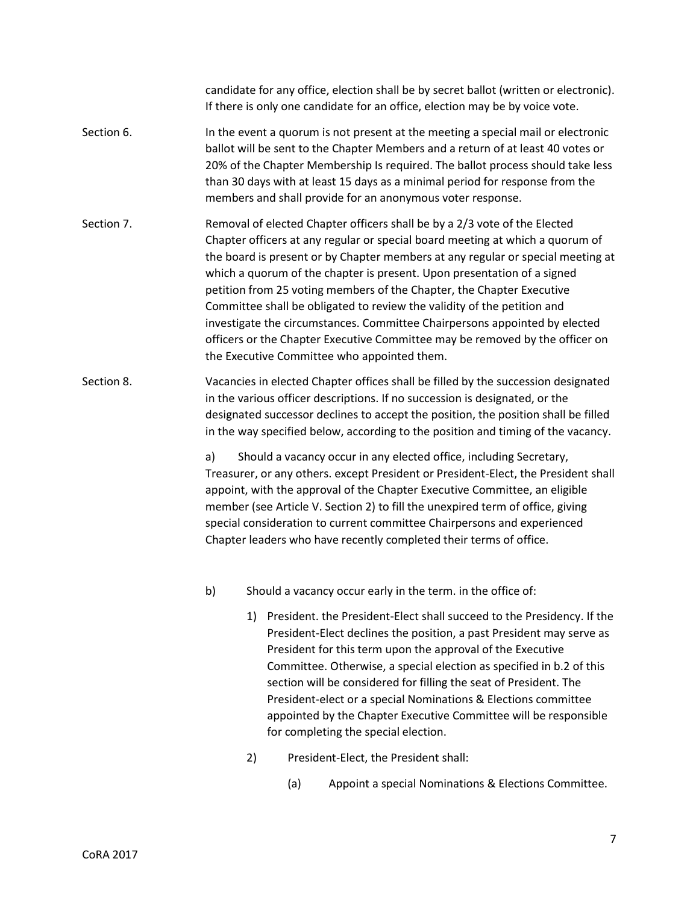candidate for any office, election shall be by secret ballot (written or electronic). If there is only one candidate for an office, election may be by voice vote.

- Section 6. **In the event a quorum is not present at the meeting a special mail or electronic** ballot will be sent to the Chapter Members and a return of at least 40 votes or 20% of the Chapter Membership Is required. The ballot process should take less than 30 days with at least 15 days as a minimal period for response from the members and shall provide for an anonymous voter response.
- Section 7. Removal of elected Chapter officers shall be by a 2/3 vote of the Elected Chapter officers at any regular or special board meeting at which a quorum of the board is present or by Chapter members at any regular or special meeting at which a quorum of the chapter is present. Upon presentation of a signed petition from 25 voting members of the Chapter, the Chapter Executive Committee shall be obligated to review the validity of the petition and investigate the circumstances. Committee Chairpersons appointed by elected officers or the Chapter Executive Committee may be removed by the officer on the Executive Committee who appointed them.
- Section 8. Vacancies in elected Chapter offices shall be filled by the succession designated in the various officer descriptions. If no succession is designated, or the designated successor declines to accept the position, the position shall be filled in the way specified below, according to the position and timing of the vacancy.

a) Should a vacancy occur in any elected office, including Secretary, Treasurer, or any others. except President or President-Elect, the President shall appoint, with the approval of the Chapter Executive Committee, an eligible member (see Article V. Section 2) to fill the unexpired term of office, giving special consideration to current committee Chairpersons and experienced Chapter leaders who have recently completed their terms of office.

- b) Should a vacancy occur early in the term. in the office of:
	- 1) President. the President-Elect shall succeed to the Presidency. If the President-Elect declines the position, a past President may serve as President for this term upon the approval of the Executive Committee. Otherwise, a special election as specified in b.2 of this section will be considered for filling the seat of President. The President-elect or a special Nominations & Elections committee appointed by the Chapter Executive Committee will be responsible for completing the special election.
	- 2) President-Elect, the President shall:
		- (a) Appoint a special Nominations & Elections Committee.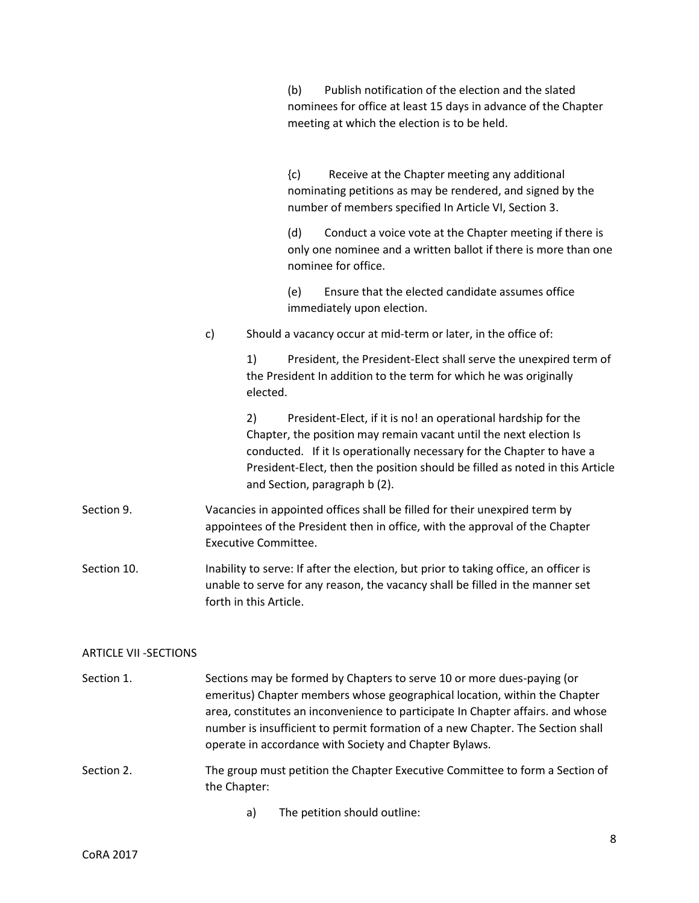|             |    |                             | nominees for office at least 15 days in advance of the Chapter<br>meeting at which the election is to be held.                                                                                                                                                                                                                |
|-------------|----|-----------------------------|-------------------------------------------------------------------------------------------------------------------------------------------------------------------------------------------------------------------------------------------------------------------------------------------------------------------------------|
|             |    |                             | $\{c\}$<br>Receive at the Chapter meeting any additional<br>nominating petitions as may be rendered, and signed by the<br>number of members specified In Article VI, Section 3.                                                                                                                                               |
|             |    |                             | (d)<br>Conduct a voice vote at the Chapter meeting if there is<br>only one nominee and a written ballot if there is more than one<br>nominee for office.                                                                                                                                                                      |
|             |    |                             | Ensure that the elected candidate assumes office<br>(e)<br>immediately upon election.                                                                                                                                                                                                                                         |
|             | c) |                             | Should a vacancy occur at mid-term or later, in the office of:                                                                                                                                                                                                                                                                |
|             |    | 1)<br>elected.              | President, the President-Elect shall serve the unexpired term of<br>the President In addition to the term for which he was originally                                                                                                                                                                                         |
|             |    | 2)                          | President-Elect, if it is no! an operational hardship for the<br>Chapter, the position may remain vacant until the next election Is<br>conducted. If it Is operationally necessary for the Chapter to have a<br>President-Elect, then the position should be filled as noted in this Article<br>and Section, paragraph b (2). |
| Section 9.  |    | <b>Executive Committee.</b> | Vacancies in appointed offices shall be filled for their unexpired term by<br>appointees of the President then in office, with the approval of the Chapter                                                                                                                                                                    |
| Section 10. |    | forth in this Article.      | Inability to serve: If after the election, but prior to taking office, an officer is<br>unable to serve for any reason, the vacancy shall be filled in the manner set                                                                                                                                                         |
|             |    |                             |                                                                                                                                                                                                                                                                                                                               |

(b) Publish notification of the election and the slated

# ARTICLE VII -SECTIONS

Section 1. Sections may be formed by Chapters to serve 10 or more dues-paying (or emeritus) Chapter members whose geographical location, within the Chapter area, constitutes an inconvenience to participate In Chapter affairs. and whose number is insufficient to permit formation of a new Chapter. The Section shall operate in accordance with Society and Chapter Bylaws.

Section 2. The group must petition the Chapter Executive Committee to form a Section of the Chapter:

a) The petition should outline: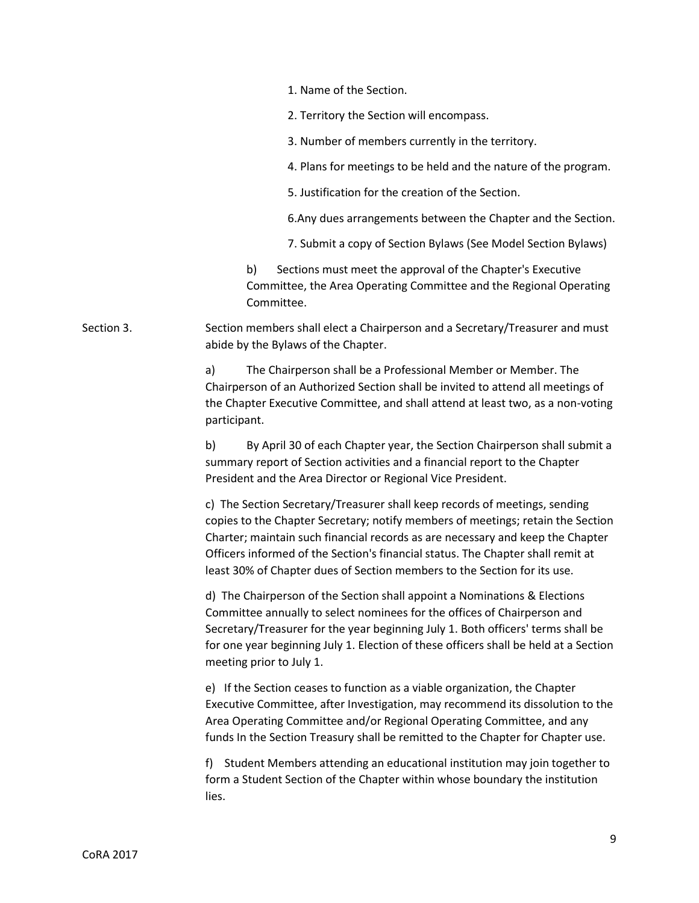1. Name of the Section.

2. Territory the Section will encompass.

3. Number of members currently in the territory.

4. Plans for meetings to be held and the nature of the program.

5. Justification for the creation of the Section.

6.Any dues arrangements between the Chapter and the Section.

7. Submit a copy of Section Bylaws (See Model Section Bylaws)

b) Sections must meet the approval of the Chapter's Executive Committee, the Area Operating Committee and the Regional Operating Committee.

Section 3. Section members shall elect a Chairperson and a Secretary/Treasurer and must abide by the Bylaws of the Chapter.

> a) The Chairperson shall be a Professional Member or Member. The Chairperson of an Authorized Section shall be invited to attend all meetings of the Chapter Executive Committee, and shall attend at least two, as a non-voting participant.

> b) By April 30 of each Chapter year, the Section Chairperson shall submit a summary report of Section activities and a financial report to the Chapter President and the Area Director or Regional Vice President.

> c) The Section Secretary/Treasurer shall keep records of meetings, sending copies to the Chapter Secretary; notify members of meetings; retain the Section Charter; maintain such financial records as are necessary and keep the Chapter Officers informed of the Section's financial status. The Chapter shall remit at least 30% of Chapter dues of Section members to the Section for its use.

> d) The Chairperson of the Section shall appoint a Nominations & Elections Committee annually to select nominees for the offices of Chairperson and Secretary/Treasurer for the year beginning July 1. Both officers' terms shall be for one year beginning July 1. Election of these officers shall be held at a Section meeting prior to July 1.

> e) If the Section ceases to function as a viable organization, the Chapter Executive Committee, after Investigation, may recommend its dissolution to the Area Operating Committee and/or Regional Operating Committee, and any funds In the Section Treasury shall be remitted to the Chapter for Chapter use.

> f) Student Members attending an educational institution may join together to form a Student Section of the Chapter within whose boundary the institution lies.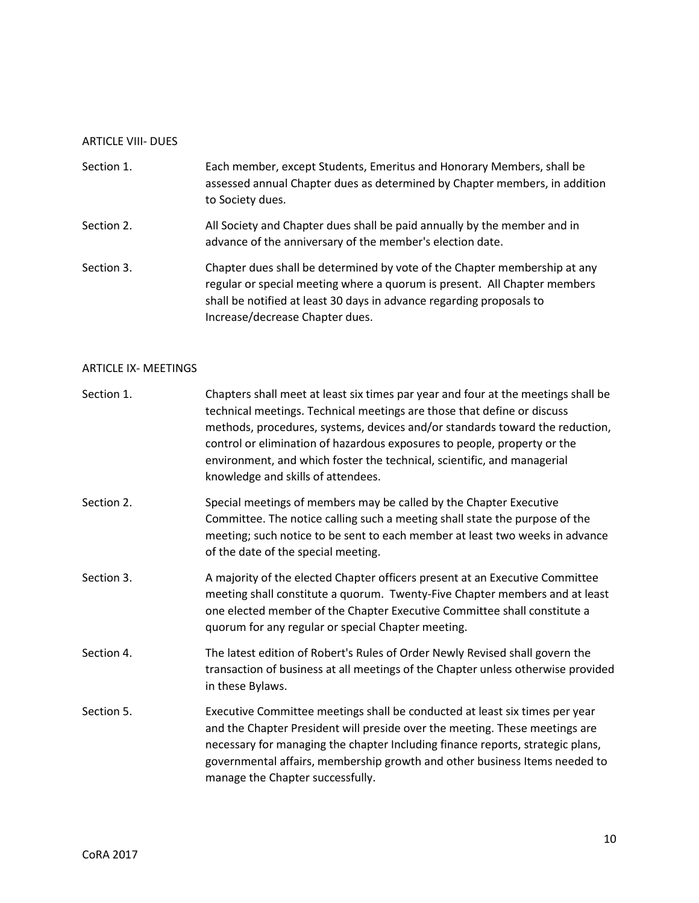# ARTICLE VIII- DUES

| Section 1. | Each member, except Students, Emeritus and Honorary Members, shall be<br>assessed annual Chapter dues as determined by Chapter members, in addition<br>to Society dues. |
|------------|-------------------------------------------------------------------------------------------------------------------------------------------------------------------------|
| Section 2. | All Society and Chapter dues shall be paid annually by the member and in<br>advance of the anniversary of the member's election date.                                   |
| Section 3. | Chapter dues shall be determined by vote of the Chapter membership at any<br>regular or special meeting where a quorum is present. All Chapter members                  |

shall be notified at least 30 days in advance regarding proposals to Increase/decrease Chapter dues.

### ARTICLE IX- MEETINGS

| Section 1. | Chapters shall meet at least six times par year and four at the meetings shall be<br>technical meetings. Technical meetings are those that define or discuss<br>methods, procedures, systems, devices and/or standards toward the reduction,<br>control or elimination of hazardous exposures to people, property or the<br>environment, and which foster the technical, scientific, and managerial<br>knowledge and skills of attendees. |
|------------|-------------------------------------------------------------------------------------------------------------------------------------------------------------------------------------------------------------------------------------------------------------------------------------------------------------------------------------------------------------------------------------------------------------------------------------------|
| Section 2. | Special meetings of members may be called by the Chapter Executive<br>Committee. The notice calling such a meeting shall state the purpose of the<br>meeting; such notice to be sent to each member at least two weeks in advance<br>of the date of the special meeting.                                                                                                                                                                  |
| Section 3. | A majority of the elected Chapter officers present at an Executive Committee<br>meeting shall constitute a quorum. Twenty-Five Chapter members and at least<br>one elected member of the Chapter Executive Committee shall constitute a<br>quorum for any regular or special Chapter meeting.                                                                                                                                             |
| Section 4. | The latest edition of Robert's Rules of Order Newly Revised shall govern the<br>transaction of business at all meetings of the Chapter unless otherwise provided<br>in these Bylaws.                                                                                                                                                                                                                                                      |
| Section 5. | Executive Committee meetings shall be conducted at least six times per year<br>and the Chapter President will preside over the meeting. These meetings are<br>necessary for managing the chapter Including finance reports, strategic plans,<br>governmental affairs, membership growth and other business Items needed to<br>manage the Chapter successfully.                                                                            |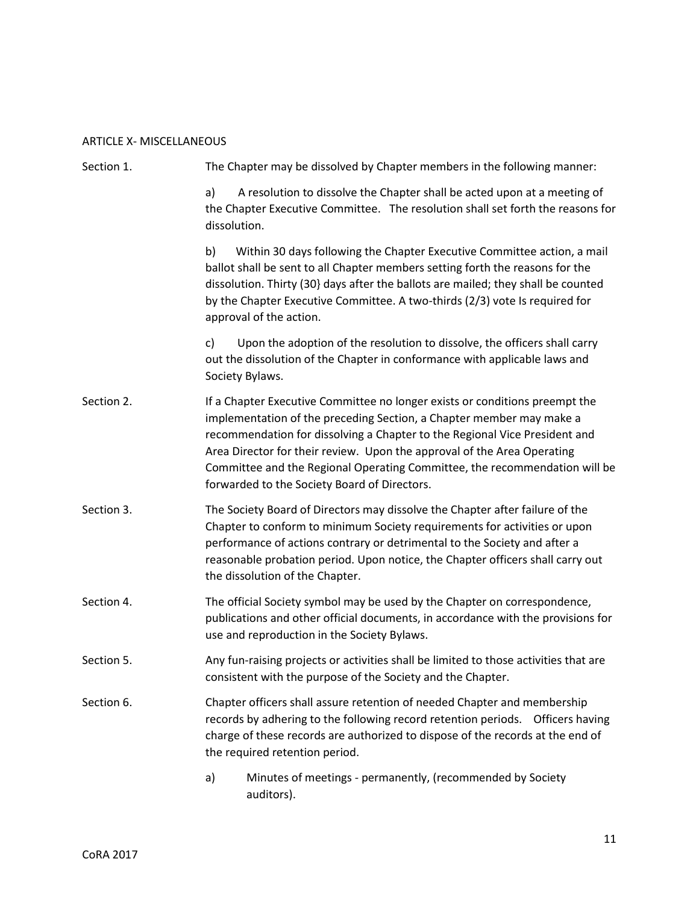# ARTICLE X- MISCELLANEOUS

| Section 1. | The Chapter may be dissolved by Chapter members in the following manner:                                                                                                                                                                                                                                                                                                                                                                   |  |  |  |
|------------|--------------------------------------------------------------------------------------------------------------------------------------------------------------------------------------------------------------------------------------------------------------------------------------------------------------------------------------------------------------------------------------------------------------------------------------------|--|--|--|
|            | A resolution to dissolve the Chapter shall be acted upon at a meeting of<br>a)<br>the Chapter Executive Committee. The resolution shall set forth the reasons for<br>dissolution.                                                                                                                                                                                                                                                          |  |  |  |
|            | b)<br>Within 30 days following the Chapter Executive Committee action, a mail<br>ballot shall be sent to all Chapter members setting forth the reasons for the<br>dissolution. Thirty (30} days after the ballots are mailed; they shall be counted<br>by the Chapter Executive Committee. A two-thirds (2/3) vote Is required for<br>approval of the action.                                                                              |  |  |  |
|            | Upon the adoption of the resolution to dissolve, the officers shall carry<br>C)<br>out the dissolution of the Chapter in conformance with applicable laws and<br>Society Bylaws.                                                                                                                                                                                                                                                           |  |  |  |
| Section 2. | If a Chapter Executive Committee no longer exists or conditions preempt the<br>implementation of the preceding Section, a Chapter member may make a<br>recommendation for dissolving a Chapter to the Regional Vice President and<br>Area Director for their review. Upon the approval of the Area Operating<br>Committee and the Regional Operating Committee, the recommendation will be<br>forwarded to the Society Board of Directors. |  |  |  |
| Section 3. | The Society Board of Directors may dissolve the Chapter after failure of the<br>Chapter to conform to minimum Society requirements for activities or upon<br>performance of actions contrary or detrimental to the Society and after a<br>reasonable probation period. Upon notice, the Chapter officers shall carry out<br>the dissolution of the Chapter.                                                                                |  |  |  |
| Section 4. | The official Society symbol may be used by the Chapter on correspondence,<br>publications and other official documents, in accordance with the provisions for<br>use and reproduction in the Society Bylaws.                                                                                                                                                                                                                               |  |  |  |
| Section 5. | Any fun-raising projects or activities shall be limited to those activities that are<br>consistent with the purpose of the Society and the Chapter.                                                                                                                                                                                                                                                                                        |  |  |  |
| Section 6. | Chapter officers shall assure retention of needed Chapter and membership<br>records by adhering to the following record retention periods.  Officers having<br>charge of these records are authorized to dispose of the records at the end of<br>the required retention period.                                                                                                                                                            |  |  |  |
|            | Minutes of meetings - permanently, (recommended by Society<br>a)<br>auditors).                                                                                                                                                                                                                                                                                                                                                             |  |  |  |